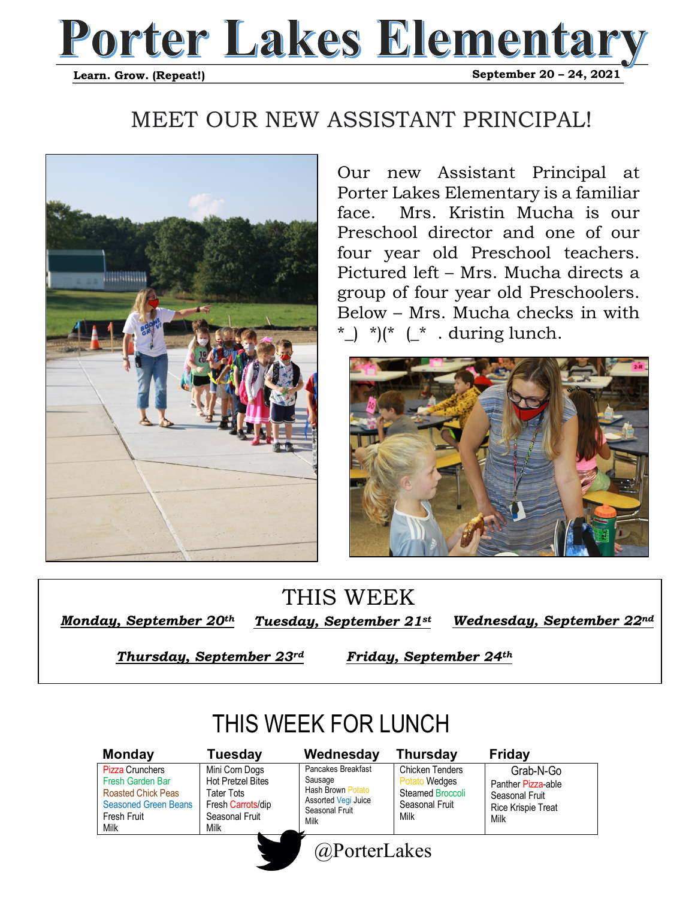## **Porter Lakes Elementary**   **September 20 – 24, 2021 Learn. Grow. (Repeat!)**

## MEET OUR NEW ASSISTANT PRINCIPAL!



Our new Assistant Principal at Porter Lakes Elementary is a familiar face. Mrs. Kristin Mucha is our Preschool director and one of our four year old Preschool teachers. Pictured left – Mrs. Mucha directs a group of four year old Preschoolers. Below – Mrs. Mucha checks in with \*  $\int$  \*)(\*  $\int$  \* . during lunch.



## THIS WEEK

*Monday, September 20<sup>th</sup> Tuesday, September 21st* 

*Wednesday, September 22nd* 

*Thursday, September 23rd* 

*Friday, September 24th* 

## THIS WEEK FOR LUNCH

Pizza Crunchers Fresh Garden Bar Roasted Chick Peas Seasoned Green Beans Fresh Fruit Milk

#### Mini Corn Dogs Hot Pretzel Bites Tater Tots Fresh Carrots/dip Seasonal Fruit Milk **Monday Tuesday Wednesday Thursday Friday**



Chicken Tenders Potato Wedges Steamed Broccoli Seasonal Fruit Milk

 Grab-N-Go Panther Pizza-able Seasonal Fruit Rice Krispie Treat Milk

@PorterLakes